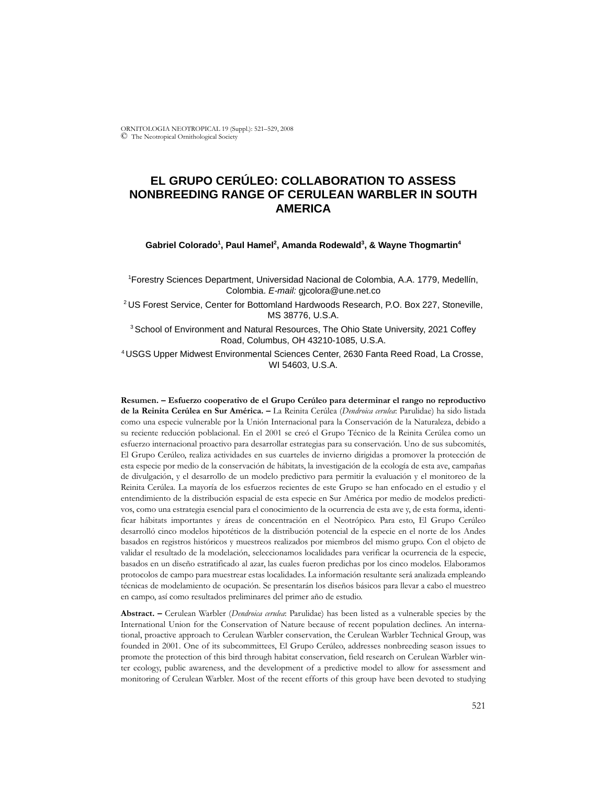ORNITOLOGIA NEOTROPICAL 19 (Suppl.): 521–529, 2008 © The Neotropical Ornithological Society

# **EL GRUPO CERÚLEO: COLLABORATION TO ASSESS NONBREEDING RANGE OF CERULEAN WARBLER IN SOUTH AMERICA**

#### Gabriel Colorado<sup>1</sup>, Paul Hamel<sup>2</sup>, Amanda Rodewald<sup>3</sup>, & Wayne Thogmartin<sup>4</sup>

1 Forestry Sciences Department, Universidad Nacional de Colombia, A.A. 1779, Medellín, Colombia. *E-mail:* gjcolora@une.net.co

2 US Forest Service, Center for Bottomland Hardwoods Research, P.O. Box 227, Stoneville, MS 38776, U.S.A.

<sup>3</sup> School of Environment and Natural Resources, The Ohio State University, 2021 Coffey Road, Columbus, OH 43210-1085, U.S.A.

4 USGS Upper Midwest Environmental Sciences Center, 2630 Fanta Reed Road, La Crosse, WI 54603, U.S.A.

**Resumen. – Esfuerzo cooperativo de el Grupo Cerúleo para determinar el rango no reproductivo de la Reinita Cerúlea en Sur América. –** La Reinita Cerúlea (*Dendroica cerulea*: Parulidae) ha sido listada como una especie vulnerable por la Unión Internacional para la Conservación de la Naturaleza, debido a su reciente reducción poblacional. En el 2001 se creó el Grupo Técnico de la Reinita Cerúlea como un esfuerzo internacional proactivo para desarrollar estrategias para su conservación. Uno de sus subcomités, El Grupo Cerúleo, realiza actividades en sus cuarteles de invierno dirigidas a promover la protección de esta especie por medio de la conservación de hábitats, la investigación de la ecología de esta ave, campañas de divulgación, y el desarrollo de un modelo predictivo para permitir la evaluación y el monitoreo de la Reinita Cerúlea. La mayoría de los esfuerzos recientes de este Grupo se han enfocado en el estudio y el entendimiento de la distribución espacial de esta especie en Sur América por medio de modelos predictivos, como una estrategia esencial para el conocimiento de la ocurrencia de esta ave y, de esta forma, identificar hábitats importantes y áreas de concentración en el Neotrópico. Para esto, El Grupo Cerúleo desarrolló cinco modelos hipotéticos de la distribución potencial de la especie en el norte de los Andes basados en registros históricos y muestreos realizados por miembros del mismo grupo. Con el objeto de validar el resultado de la modelación, seleccionamos localidades para verificar la ocurrencia de la especie, basados en un diseño estratificado al azar, las cuales fueron predichas por los cinco modelos. Elaboramos protocolos de campo para muestrear estas localidades. La información resultante será analizada empleando técnicas de modelamiento de ocupación. Se presentarán los diseños básicos para llevar a cabo el muestreo en campo, así como resultados preliminares del primer año de estudio.

**Abstract. –** Cerulean Warbler (*Dendroica cerulea*: Parulidae) has been listed as a vulnerable species by the International Union for the Conservation of Nature because of recent population declines. An international, proactive approach to Cerulean Warbler conservation, the Cerulean Warbler Technical Group, was founded in 2001. One of its subcommittees, El Grupo Cerúleo, addresses nonbreeding season issues to promote the protection of this bird through habitat conservation, field research on Cerulean Warbler winter ecology, public awareness, and the development of a predictive model to allow for assessment and monitoring of Cerulean Warbler. Most of the recent efforts of this group have been devoted to studying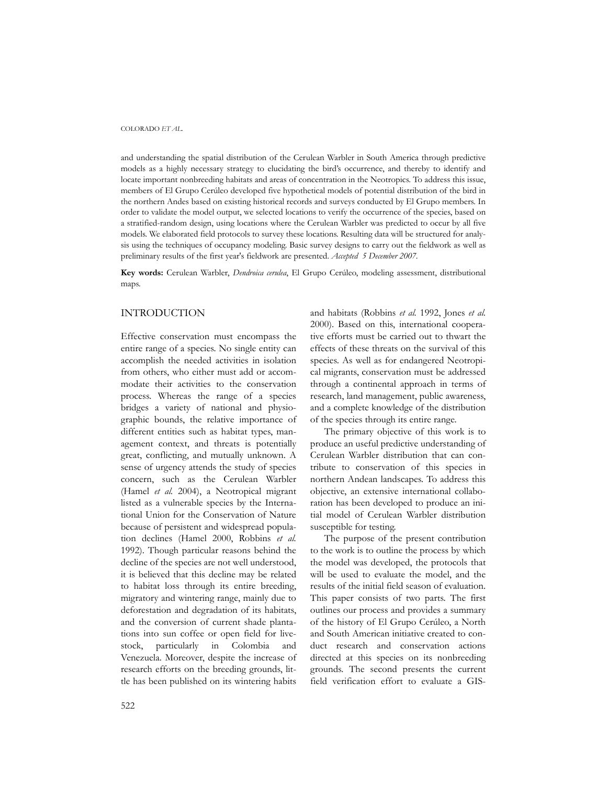#### COLORADO *ET AL.*

and understanding the spatial distribution of the Cerulean Warbler in South America through predictive models as a highly necessary strategy to elucidating the bird's occurrence, and thereby to identify and locate important nonbreeding habitats and areas of concentration in the Neotropics. To address this issue, members of El Grupo Cerúleo developed five hypothetical models of potential distribution of the bird in the northern Andes based on existing historical records and surveys conducted by El Grupo members. In order to validate the model output, we selected locations to verify the occurrence of the species, based on a stratified-random design, using locations where the Cerulean Warbler was predicted to occur by all five models. We elaborated field protocols to survey these locations. Resulting data will be structured for analysis using the techniques of occupancy modeling. Basic survey designs to carry out the fieldwork as well as preliminary results of the first year's fieldwork are presented. *Accepted 5 December 2007.*

**Key words:** Cerulean Warbler, *Dendroica cerulea*, El Grupo Cerúleo, modeling assessment, distributional maps.

## INTRODUCTION

Effective conservation must encompass the entire range of a species. No single entity can accomplish the needed activities in isolation from others, who either must add or accommodate their activities to the conservation process. Whereas the range of a species bridges a variety of national and physiographic bounds, the relative importance of different entities such as habitat types, management context, and threats is potentially great, conflicting, and mutually unknown. A sense of urgency attends the study of species concern, such as the Cerulean Warbler (Hamel *et al.* 2004), a Neotropical migrant listed as a vulnerable species by the International Union for the Conservation of Nature because of persistent and widespread population declines (Hamel 2000, Robbins *et al.* 1992). Though particular reasons behind the decline of the species are not well understood, it is believed that this decline may be related to habitat loss through its entire breeding, migratory and wintering range, mainly due to deforestation and degradation of its habitats, and the conversion of current shade plantations into sun coffee or open field for livestock, particularly in Colombia and Venezuela. Moreover, despite the increase of research efforts on the breeding grounds, little has been published on its wintering habits and habitats (Robbins *et al.* 1992, Jones *et al.* 2000). Based on this, international cooperative efforts must be carried out to thwart the effects of these threats on the survival of this species. As well as for endangered Neotropical migrants, conservation must be addressed through a continental approach in terms of research, land management, public awareness, and a complete knowledge of the distribution of the species through its entire range.

The primary objective of this work is to produce an useful predictive understanding of Cerulean Warbler distribution that can contribute to conservation of this species in northern Andean landscapes. To address this objective, an extensive international collaboration has been developed to produce an initial model of Cerulean Warbler distribution susceptible for testing.

The purpose of the present contribution to the work is to outline the process by which the model was developed, the protocols that will be used to evaluate the model, and the results of the initial field season of evaluation. This paper consists of two parts. The first outlines our process and provides a summary of the history of El Grupo Cerúleo, a North and South American initiative created to conduct research and conservation actions directed at this species on its nonbreeding grounds. The second presents the current field verification effort to evaluate a GIS-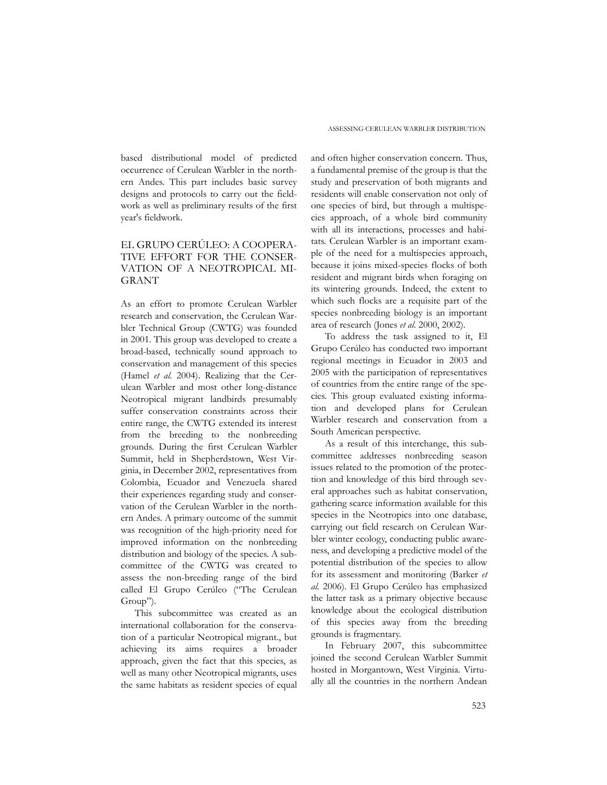based distributional model of predicted occurrence of Cerulean Warbler in the northern Andes. This part includes basic survey designs and protocols to carry out the fieldwork as well as preliminary results of the first year's fieldwork.

## EL GRUPO CERÚLEO: A COOPERA-TIVE EFFORT FOR THE CONSER-VATION OF A NEOTROPICAL MI-GRANT

As an effort to promote Cerulean Warbler research and conservation, the Cerulean Warbler Technical Group (CWTG) was founded in 2001. This group was developed to create a broad-based, technically sound approach to conservation and management of this species (Hamel *et al.* 2004). Realizing that the Cerulean Warbler and most other long-distance Neotropical migrant landbirds presumably suffer conservation constraints across their entire range, the CWTG extended its interest from the breeding to the nonbreeding grounds. During the first Cerulean Warbler Summit, held in Shepherdstown, West Virginia, in December 2002, representatives from Colombia, Ecuador and Venezuela shared their experiences regarding study and conservation of the Cerulean Warbler in the northern Andes. A primary outcome of the summit was recognition of the high-priority need for improved information on the nonbreeding distribution and biology of the species. A subcommittee of the CWTG was created to assess the non-breeding range of the bird called El Grupo Cerúleo ("The Cerulean Group").

This subcommittee was created as an international collaboration for the conservation of a particular Neotropical migrant., but achieving its aims requires a broader approach, given the fact that this species, as well as many other Neotropical migrants, uses the same habitats as resident species of equal

and often higher conservation concern. Thus, a fundamental premise of the group is that the study and preservation of both migrants and residents will enable conservation not only of one species of bird, but through a multispecies approach, of a whole bird community with all its interactions, processes and habitats. Cerulean Warbler is an important example of the need for a multispecies approach, because it joins mixed-species flocks of both resident and migrant birds when foraging on its wintering grounds. Indeed, the extent to which such flocks are a requisite part of the species nonbreeding biology is an important area of research (Jones *et al.* 2000, 2002).

To address the task assigned to it, El Grupo Cerúleo has conducted two important regional meetings in Ecuador in 2003 and 2005 with the participation of representatives of countries from the entire range of the species. This group evaluated existing information and developed plans for Cerulean Warbler research and conservation from a South American perspective.

As a result of this interchange, this subcommittee addresses nonbreeding season issues related to the promotion of the protection and knowledge of this bird through several approaches such as habitat conservation, gathering scarce information available for this species in the Neotropics into one database, carrying out field research on Cerulean Warbler winter ecology, conducting public awareness, and developing a predictive model of the potential distribution of the species to allow for its assessment and monitoring (Barker *et al.* 2006). El Grupo Cerúleo has emphasized the latter task as a primary objective because knowledge about the ecological distribution of this species away from the breeding grounds is fragmentary.

In February 2007, this subcommittee joined the second Cerulean Warbler Summit hosted in Morgantown, West Virginia. Virtually all the countries in the northern Andean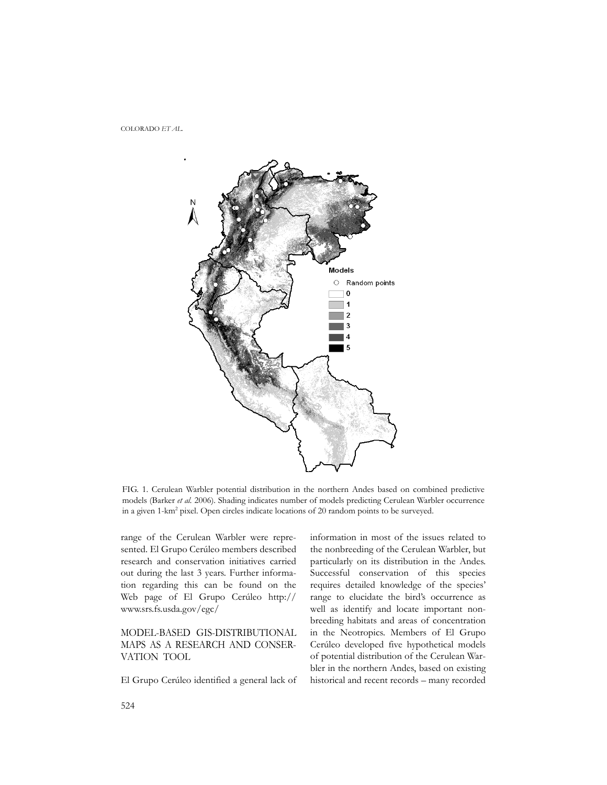



FIG. 1. Cerulean Warbler potential distribution in the northern Andes based on combined predictive models (Barker *et al.* 2006). Shading indicates number of models predicting Cerulean Warbler occurrence in a given 1-km<sup>2</sup> pixel. Open circles indicate locations of 20 random points to be surveyed.

range of the Cerulean Warbler were represented. El Grupo Cerúleo members described research and conservation initiatives carried out during the last 3 years. Further information regarding this can be found on the Web page of El Grupo Cerúleo http:// www.srs.fs.usda.gov/egc/

## MODEL-BASED GIS-DISTRIBUTIONAL MAPS AS A RESEARCH AND CONSER-VATION TOOL

El Grupo Cerúleo identified a general lack of

information in most of the issues related to the nonbreeding of the Cerulean Warbler, but particularly on its distribution in the Andes. Successful conservation of this species requires detailed knowledge of the species' range to elucidate the bird's occurrence as well as identify and locate important nonbreeding habitats and areas of concentration in the Neotropics. Members of El Grupo Cerúleo developed five hypothetical models of potential distribution of the Cerulean Warbler in the northern Andes, based on existing historical and recent records – many recorded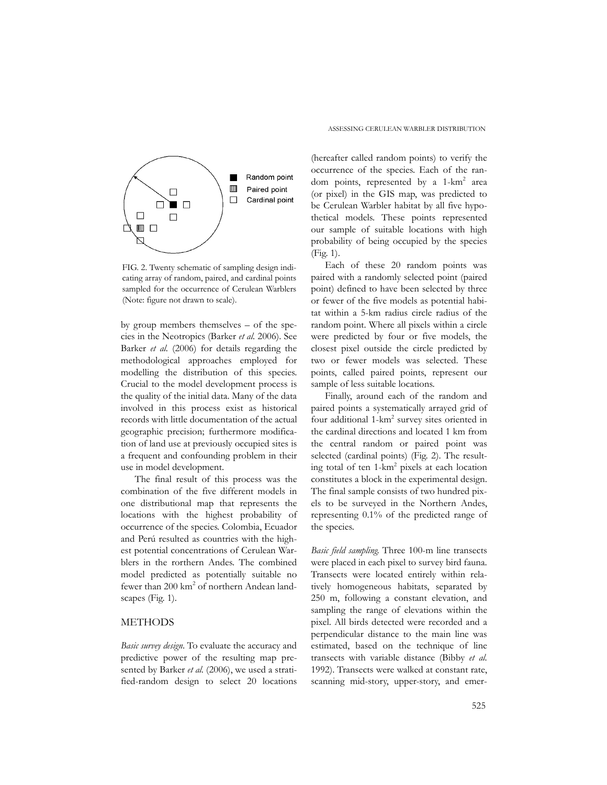

FIG. 2. Twenty schematic of sampling design indicating array of random, paired, and cardinal points sampled for the occurrence of Cerulean Warblers (Note: figure not drawn to scale).

by group members themselves – of the species in the Neotropics (Barker *et al.* 2006). See Barker *et al.* (2006) for details regarding the methodological approaches employed for modelling the distribution of this species. Crucial to the model development process is the quality of the initial data. Many of the data involved in this process exist as historical records with little documentation of the actual geographic precision; furthermore modification of land use at previously occupied sites is a frequent and confounding problem in their use in model development.

The final result of this process was the combination of the five different models in one distributional map that represents the locations with the highest probability of occurrence of the species. Colombia, Ecuador and Perú resulted as countries with the highest potential concentrations of Cerulean Warblers in the rorthern Andes. The combined model predicted as potentially suitable no fewer than 200 km<sup>2</sup> of northern Andean landscapes (Fig. 1).

## METHODS

*Basic survey design*. To evaluate the accuracy and predictive power of the resulting map presented by Barker et al. (2006), we used a stratified-random design to select 20 locations (hereafter called random points) to verify the occurrence of the species. Each of the random points, represented by a 1-km<sup>2</sup> area (or pixel) in the GIS map, was predicted to be Cerulean Warbler habitat by all five hypothetical models. These points represented our sample of suitable locations with high probability of being occupied by the species (Fig. 1).

Each of these 20 random points was paired with a randomly selected point (paired point) defined to have been selected by three or fewer of the five models as potential habitat within a 5-km radius circle radius of the random point. Where all pixels within a circle were predicted by four or five models, the closest pixel outside the circle predicted by two or fewer models was selected. These points, called paired points, represent our sample of less suitable locations.

Finally, around each of the random and paired points a systematically arrayed grid of four additional 1-km<sup>2</sup> survey sites oriented in the cardinal directions and located 1 km from the central random or paired point was selected (cardinal points) (Fig. 2). The resulting total of ten 1-km<sup>2</sup> pixels at each location constitutes a block in the experimental design. The final sample consists of two hundred pixels to be surveyed in the Northern Andes, representing 0.1% of the predicted range of the species.

*Basic field sampling*. Three 100-m line transects were placed in each pixel to survey bird fauna. Transects were located entirely within relatively homogeneous habitats, separated by 250 m, following a constant elevation, and sampling the range of elevations within the pixel. All birds detected were recorded and a perpendicular distance to the main line was estimated, based on the technique of line transects with variable distance (Bibby *et al.* 1992). Transects were walked at constant rate, scanning mid-story, upper-story, and emer-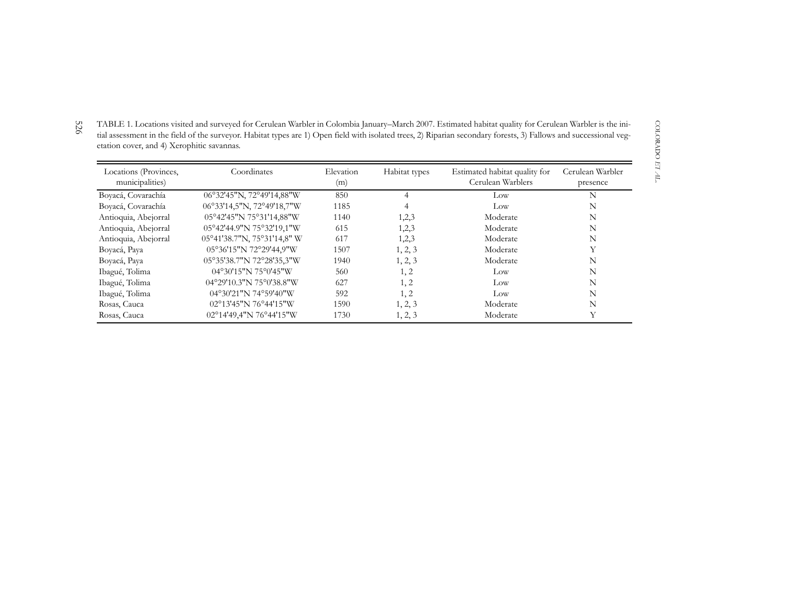TABLE 1. Locations visited and surveyed for Cerulean Warbler in Colombia January–March 2007. Estimated habitat quality for Cerulean Warbler is the initial assessment in the field of the surveyor. Habitat types are 1) Open field with isolated trees, 2) Riparian secondary forests, 3) Fallows and successional vegetation cover, and 4) Xerophitic savannas.

| Locations (Provinces,<br>municipalities) | Coordinates                 | Elevation<br>(m) | Habitat types | Estimated habitat quality for<br>Cerulean Warblers | Cerulean Warbler<br>presence |
|------------------------------------------|-----------------------------|------------------|---------------|----------------------------------------------------|------------------------------|
| Boyacá, Covarachía                       | 06°32'45"N, 72°49'14,88"W   | 850              |               | Low                                                | N                            |
| Boyacá, Covarachía                       | 06°33'14,5"N, 72°49'18,7"W  | 1185             |               | Low                                                | N                            |
| Antioquia, Abejorral                     | 05°42'45"N 75°31'14,88"W    | 1140             | 1,2,3         | Moderate                                           | N                            |
| Antioquia, Abejorral                     | 05°42'44.9"N 75°32'19,1"W   | 615              | 1,2,3         | Moderate                                           | N                            |
| Antioquia, Abejorral                     | 05°41'38.7"N, 75°31'14,8" W | 617              | 1,2,3         | Moderate                                           | N                            |
| Boyacá, Paya                             | 05°36'15"N 72°29'44,9"W     | 1507             | 1, 2, 3       | Moderate                                           | Y                            |
| Boyacá, Paya                             | 05°35'38.7"N 72°28'35,3"W   | 1940             | 1, 2, 3       | Moderate                                           | N                            |
| Ibagué, Tolima                           | 04°30'15"N 75°0'45"W        | 560              | 1, 2          | Low                                                | N                            |
| Ibagué, Tolima                           | 04°29'10.3"N 75°0'38.8"W    | 627              | 1, 2          | Low                                                | N                            |
| Ibagué, Tolima                           | 04°30'21"N 74°59'40"W       | 592              | 1, 2          | Low                                                | N                            |
| Rosas, Cauca                             | 02°13'45"N 76°44'15"W       | 1590             | 1, 2, 3       | Moderate                                           | N                            |
| Rosas, Cauca                             | 02°14'49,4"N 76°44'15"W     | 1730             | 1, 2, 3       | Moderate                                           | Y                            |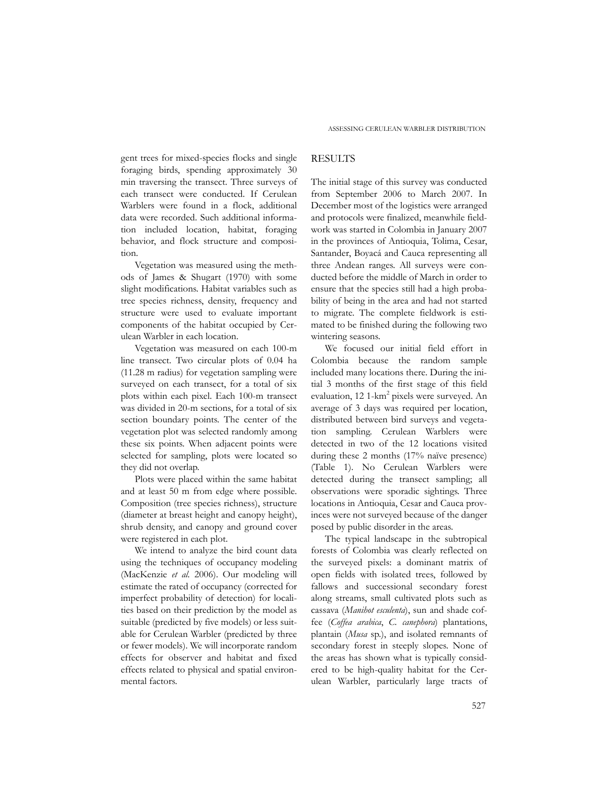gent trees for mixed-species flocks and single foraging birds, spending approximately 30 min traversing the transect. Three surveys of each transect were conducted. If Cerulean Warblers were found in a flock, additional data were recorded. Such additional information included location, habitat, foraging behavior, and flock structure and composition.

Vegetation was measured using the methods of James & Shugart (1970) with some slight modifications. Habitat variables such as tree species richness, density, frequency and structure were used to evaluate important components of the habitat occupied by Cerulean Warbler in each location.

Vegetation was measured on each 100-m line transect. Two circular plots of 0.04 ha (11.28 m radius) for vegetation sampling were surveyed on each transect, for a total of six plots within each pixel. Each 100-m transect was divided in 20-m sections, for a total of six section boundary points. The center of the vegetation plot was selected randomly among these six points. When adjacent points were selected for sampling, plots were located so they did not overlap.

Plots were placed within the same habitat and at least 50 m from edge where possible. Composition (tree species richness), structure (diameter at breast height and canopy height), shrub density, and canopy and ground cover were registered in each plot.

We intend to analyze the bird count data using the techniques of occupancy modeling (MacKenzie *et al.* 2006). Our modeling will estimate the rated of occupancy (corrected for imperfect probability of detection) for localities based on their prediction by the model as suitable (predicted by five models) or less suitable for Cerulean Warbler (predicted by three or fewer models). We will incorporate random effects for observer and habitat and fixed effects related to physical and spatial environmental factors.

#### RESULTS

The initial stage of this survey was conducted from September 2006 to March 2007. In December most of the logistics were arranged and protocols were finalized, meanwhile fieldwork was started in Colombia in January 2007 in the provinces of Antioquia, Tolima, Cesar, Santander, Boyacá and Cauca representing all three Andean ranges. All surveys were conducted before the middle of March in order to ensure that the species still had a high probability of being in the area and had not started to migrate. The complete fieldwork is estimated to be finished during the following two wintering seasons.

We focused our initial field effort in Colombia because the random sample included many locations there. During the initial 3 months of the first stage of this field evaluation, 12 1-km<sup>2</sup> pixels were surveyed. An average of 3 days was required per location, distributed between bird surveys and vegetation sampling. Cerulean Warblers were detected in two of the 12 locations visited during these 2 months (17% naïve presence) (Table 1). No Cerulean Warblers were detected during the transect sampling; all observations were sporadic sightings. Three locations in Antioquia, Cesar and Cauca provinces were not surveyed because of the danger posed by public disorder in the areas.

The typical landscape in the subtropical forests of Colombia was clearly reflected on the surveyed pixels: a dominant matrix of open fields with isolated trees, followed by fallows and successional secondary forest along streams, small cultivated plots such as cassava (*Manihot esculenta*), sun and shade coffee (*Coffea arabica*, *C. canephora*) plantations, plantain (*Musa* sp.), and isolated remnants of secondary forest in steeply slopes. None of the areas has shown what is typically considered to be high-quality habitat for the Cerulean Warbler, particularly large tracts of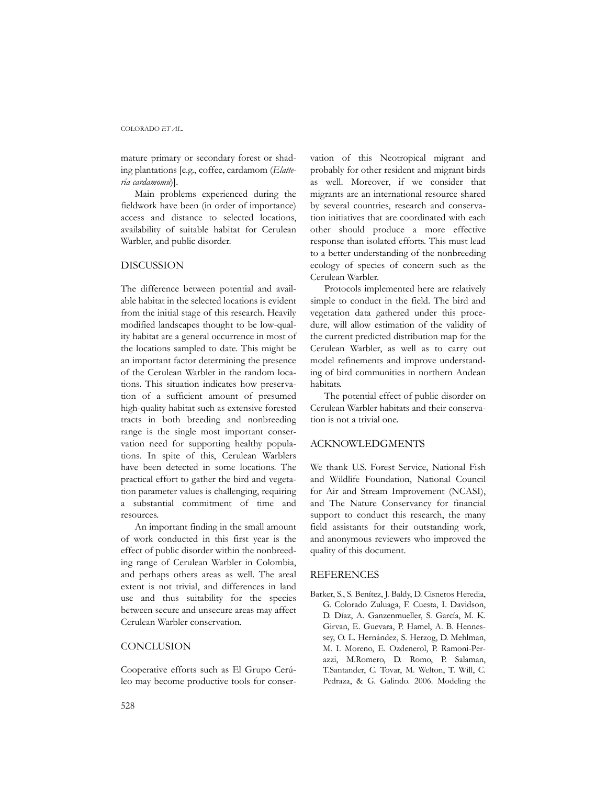#### COLORADO *ET AL.*

mature primary or secondary forest or shading plantations [e.g., coffee, cardamom (*Elatteria cardamomu*)].

Main problems experienced during the fieldwork have been (in order of importance) access and distance to selected locations, availability of suitable habitat for Cerulean Warbler, and public disorder.

#### DISCUSSION

The difference between potential and available habitat in the selected locations is evident from the initial stage of this research. Heavily modified landscapes thought to be low-quality habitat are a general occurrence in most of the locations sampled to date. This might be an important factor determining the presence of the Cerulean Warbler in the random locations. This situation indicates how preservation of a sufficient amount of presumed high-quality habitat such as extensive forested tracts in both breeding and nonbreeding range is the single most important conservation need for supporting healthy populations. In spite of this, Cerulean Warblers have been detected in some locations. The practical effort to gather the bird and vegetation parameter values is challenging, requiring a substantial commitment of time and resources.

An important finding in the small amount of work conducted in this first year is the effect of public disorder within the nonbreeding range of Cerulean Warbler in Colombia, and perhaps others areas as well. The areal extent is not trivial, and differences in land use and thus suitability for the species between secure and unsecure areas may affect Cerulean Warbler conservation.

## **CONCLUSION**

Cooperative efforts such as El Grupo Cerúleo may become productive tools for conservation of this Neotropical migrant and probably for other resident and migrant birds as well. Moreover, if we consider that migrants are an international resource shared by several countries, research and conservation initiatives that are coordinated with each other should produce a more effective response than isolated efforts. This must lead to a better understanding of the nonbreeding ecology of species of concern such as the Cerulean Warbler.

Protocols implemented here are relatively simple to conduct in the field. The bird and vegetation data gathered under this procedure, will allow estimation of the validity of the current predicted distribution map for the Cerulean Warbler, as well as to carry out model refinements and improve understanding of bird communities in northern Andean habitats.

The potential effect of public disorder on Cerulean Warbler habitats and their conservation is not a trivial one.

#### ACKNOWLEDGMENTS

We thank U.S. Forest Service, National Fish and Wildlife Foundation, National Council for Air and Stream Improvement (NCASI), and The Nature Conservancy for financial support to conduct this research, the many field assistants for their outstanding work, and anonymous reviewers who improved the quality of this document.

#### REFERENCES

Barker, S., S. Benítez, J. Baldy, D. Cisneros Heredia, G. Colorado Zuluaga, F. Cuesta, I. Davidson, D. Díaz, A. Ganzenmueller, S. García, M. K. Girvan, E. Guevara, P. Hamel, A. B. Hennessey, O. L. Hernández, S. Herzog, D. Mehlman, M. I. Moreno, E. Ozdenerol, P. Ramoni-Perazzi, M.Romero, D. Romo, P. Salaman, T.Santander, C. Tovar, M. Welton, T. Will, C. Pedraza, & G. Galindo. 2006. Modeling the